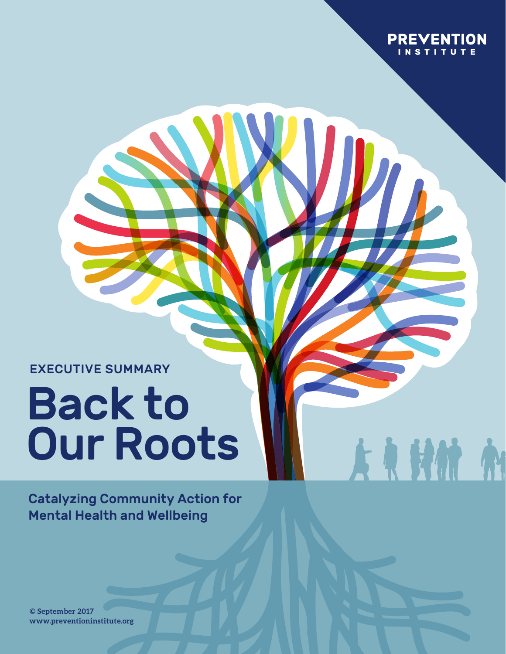

A R HM A

EXECUTIVE SUMMARY

# Back to Our Roots

Catalyzing Community Action for Mental Health and Wellbeing

**© August 2017 www.preventioninstitute.org © September 2017**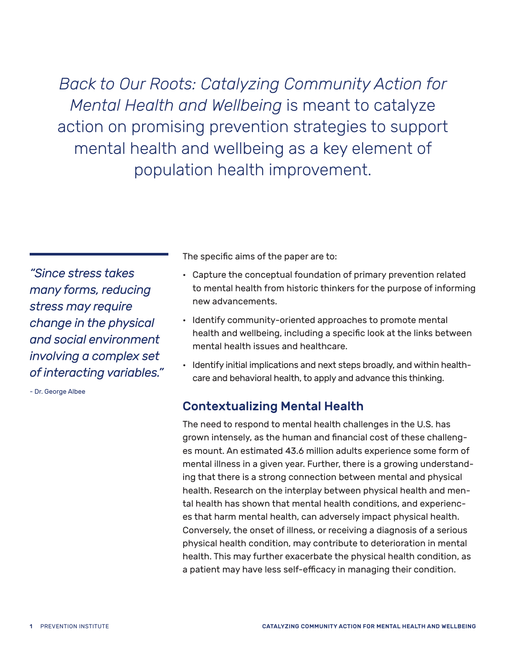*Back to Our Roots: Catalyzing Community Action for Mental Health and Wellbeing* is meant to catalyze action on promising prevention strategies to support mental health and wellbeing as a key element of population health improvement.

*"Since stress takes many forms, reducing stress may require change in the physical and social environment involving a complex set of interacting variables."*

- Dr. George Albee

The specific aims of the paper are to:

- Capture the conceptual foundation of primary prevention related to mental health from historic thinkers for the purpose of informing new advancements.
- Identify community-oriented approaches to promote mental health and wellbeing, including a specific look at the links between mental health issues and healthcare.
- Identify initial implications and next steps broadly, and within healthcare and behavioral health, to apply and advance this thinking.

# Contextualizing Mental Health

The need to respond to mental health challenges in the U.S. has grown intensely, as the human and financial cost of these challenges mount. An estimated 43.6 million adults experience some form of mental illness in a given year. Further, there is a growing understanding that there is a strong connection between mental and physical health. Research on the interplay between physical health and mental health has shown that mental health conditions, and experiences that harm mental health, can adversely impact physical health. Conversely, the onset of illness, or receiving a diagnosis of a serious physical health condition, may contribute to deterioration in mental health. This may further exacerbate the physical health condition, as a patient may have less self-efficacy in managing their condition.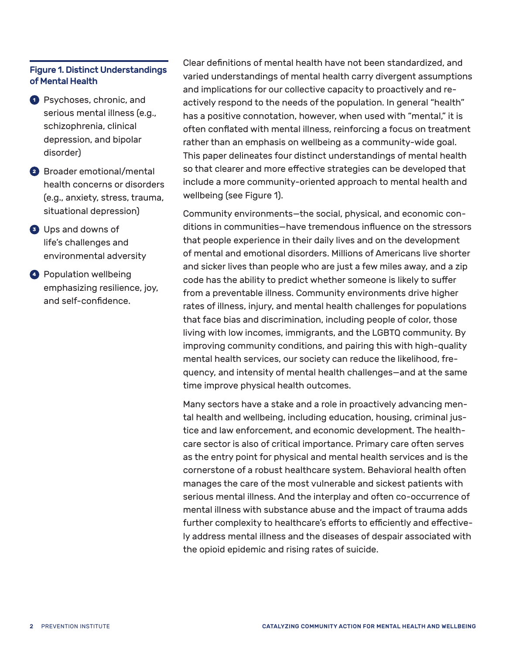#### Figure 1. Distinct Understandings of Mental Health

- **1** Psychoses, chronic, and serious mental illness (e.g., schizophrenia, clinical depression, and bipolar disorder)
- **<sup>2</sup>** Broader emotional/mental health concerns or disorders (e.g., anxiety, stress, trauma, situational depression)
- **<sup>3</sup>** Ups and downs of life's challenges and environmental adversity
- **4** Population wellbeing emphasizing resilience, joy, and self-confidence.

Clear definitions of mental health have not been standardized, and varied understandings of mental health carry divergent assumptions and implications for our collective capacity to proactively and reactively respond to the needs of the population. In general "health" has a positive connotation, however, when used with "mental," it is often conflated with mental illness, reinforcing a focus on treatment rather than an emphasis on wellbeing as a community-wide goal. This paper delineates four distinct understandings of mental health so that clearer and more effective strategies can be developed that include a more community-oriented approach to mental health and wellbeing (see Figure 1).

Community environments—the social, physical, and economic conditions in communities—have tremendous influence on the stressors that people experience in their daily lives and on the development of mental and emotional disorders. Millions of Americans live shorter and sicker lives than people who are just a few miles away, and a zip code has the ability to predict whether someone is likely to suffer from a preventable illness. Community environments drive higher rates of illness, injury, and mental health challenges for populations that face bias and discrimination, including people of color, those living with low incomes, immigrants, and the LGBTQ community. By improving community conditions, and pairing this with high-quality mental health services, our society can reduce the likelihood, frequency, and intensity of mental health challenges—and at the same time improve physical health outcomes.

Many sectors have a stake and a role in proactively advancing mental health and wellbeing, including education, housing, criminal justice and law enforcement, and economic development. The healthcare sector is also of critical importance. Primary care often serves as the entry point for physical and mental health services and is the cornerstone of a robust healthcare system. Behavioral health often manages the care of the most vulnerable and sickest patients with serious mental illness. And the interplay and often co-occurrence of mental illness with substance abuse and the impact of trauma adds further complexity to healthcare's efforts to efficiently and effectively address mental illness and the diseases of despair associated with the opioid epidemic and rising rates of suicide.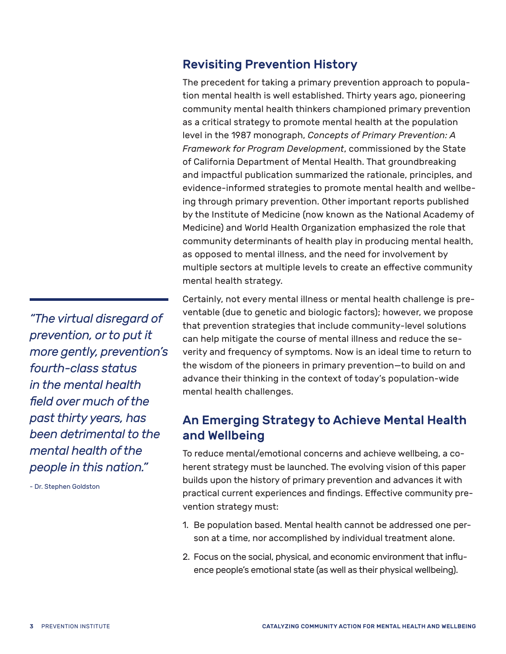# Revisiting Prevention History

The precedent for taking a primary prevention approach to population mental health is well established. Thirty years ago, pioneering community mental health thinkers championed primary prevention as a critical strategy to promote mental health at the population level in the 1987 monograph, *Concepts of Primary Prevention: A Framework for Program Development*, commissioned by the State of California Department of Mental Health. That groundbreaking and impactful publication summarized the rationale, principles, and evidence-informed strategies to promote mental health and wellbeing through primary prevention. Other important reports published by the Institute of Medicine (now known as the National Academy of Medicine) and World Health Organization emphasized the role that community determinants of health play in producing mental health, as opposed to mental illness, and the need for involvement by multiple sectors at multiple levels to create an effective community mental health strategy.

Certainly, not every mental illness or mental health challenge is preventable (due to genetic and biologic factors); however, we propose that prevention strategies that include community-level solutions can help mitigate the course of mental illness and reduce the severity and frequency of symptoms. Now is an ideal time to return to the wisdom of the pioneers in primary prevention—to build on and advance their thinking in the context of today's population-wide mental health challenges.

# An Emerging Strategy to Achieve Mental Health and Wellbeing

To reduce mental/emotional concerns and achieve wellbeing, a coherent strategy must be launched. The evolving vision of this paper builds upon the history of primary prevention and advances it with practical current experiences and findings. Effective community prevention strategy must:

- 1. Be population based. Mental health cannot be addressed one person at a time, nor accomplished by individual treatment alone.
- 2. Focus on the social, physical, and economic environment that influence people's emotional state (as well as their physical wellbeing).

*"The virtual disregard of prevention, or to put it more gently, prevention's fourth-class status in the mental health field over much of the past thirty years, has been detrimental to the mental health of the people in this nation."* 

- Dr. Stephen Goldston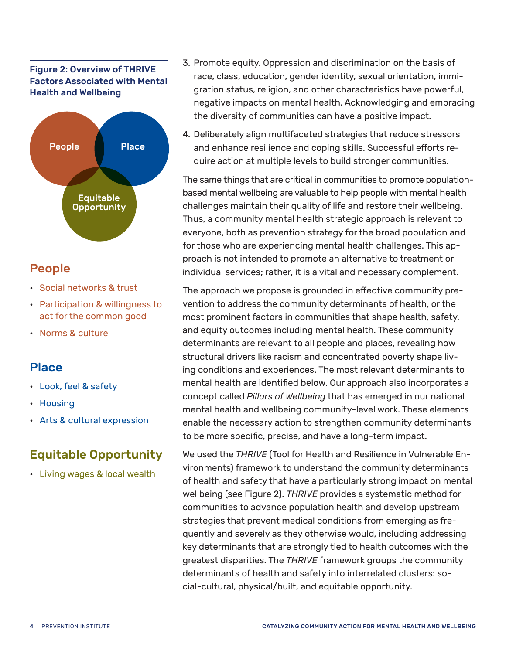#### Figure 2: Overview of THRIVE Factors Associated with Mental Health and Wellbeing



# People

- Social networks & trust
- Participation & willingness to act for the common good
- Norms & culture

# Place

- Look, feel & safety
- Housing
- Arts & cultural expression

# Equitable Opportunity

• Living wages & local wealth

- 3. Promote equity. Oppression and discrimination on the basis of race, class, education, gender identity, sexual orientation, immigration status, religion, and other characteristics have powerful, negative impacts on mental health. Acknowledging and embracing the diversity of communities can have a positive impact.
- 4. Deliberately align multifaceted strategies that reduce stressors and enhance resilience and coping skills. Successful efforts require action at multiple levels to build stronger communities.

The same things that are critical in communities to promote populationbased mental wellbeing are valuable to help people with mental health challenges maintain their quality of life and restore their wellbeing. Thus, a community mental health strategic approach is relevant to everyone, both as prevention strategy for the broad population and for those who are experiencing mental health challenges. This approach is not intended to promote an alternative to treatment or individual services; rather, it is a vital and necessary complement.

The approach we propose is grounded in effective community prevention to address the community determinants of health, or the most prominent factors in communities that shape health, safety, and equity outcomes including mental health. These community determinants are relevant to all people and places, revealing how structural drivers like racism and concentrated poverty shape living conditions and experiences. The most relevant determinants to mental health are identified below. Our approach also incorporates a concept called *Pillars of Wellbeing* that has emerged in our national mental health and wellbeing community-level work. These elements enable the necessary action to strengthen community determinants to be more specific, precise, and have a long-term impact.

We used the *THRIVE* (Tool for Health and Resilience in Vulnerable Environments) framework to understand the community determinants of health and safety that have a particularly strong impact on mental wellbeing (see Figure 2). *THRIVE* provides a systematic method for communities to advance population health and develop upstream strategies that prevent medical conditions from emerging as frequently and severely as they otherwise would, including addressing key determinants that are strongly tied to health outcomes with the greatest disparities. The *THRIVE* framework groups the community determinants of health and safety into interrelated clusters: social-cultural, physical/built, and equitable opportunity.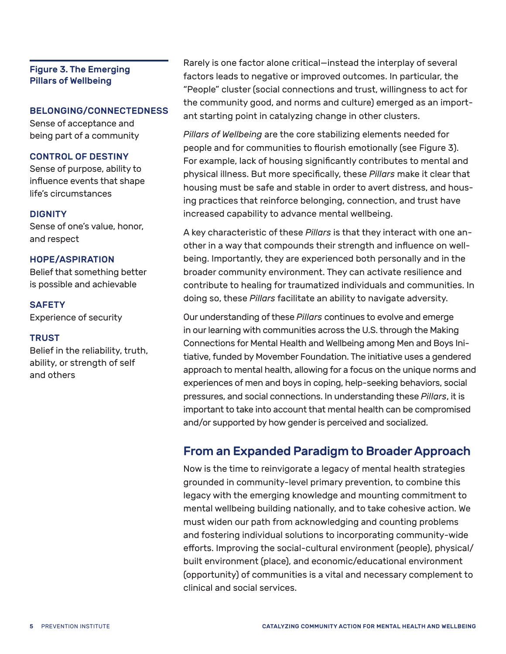#### Figure 3. The Emerging Pillars of Wellbeing

#### BELONGING/CONNECTEDNESS

Sense of acceptance and being part of a community

#### CONTROL OF DESTINY

Sense of purpose, ability to influence events that shape life's circumstances

#### **DIGNITY**

Sense of one's value, honor, and respect

#### HOPE/ASPIRATION

Belief that something better is possible and achievable

#### **SAFETY**

Experience of security

#### **TRUST**

Belief in the reliability, truth, ability, or strength of self and others

Rarely is one factor alone critical—instead the interplay of several factors leads to negative or improved outcomes. In particular, the "People" cluster (social connections and trust, willingness to act for the community good, and norms and culture) emerged as an important starting point in catalyzing change in other clusters.

*Pillars of Wellbeing* are the core stabilizing elements needed for people and for communities to flourish emotionally (see Figure 3). For example, lack of housing significantly contributes to mental and physical illness. But more specifically, these *Pillars* make it clear that housing must be safe and stable in order to avert distress, and housing practices that reinforce belonging, connection, and trust have increased capability to advance mental wellbeing.

A key characteristic of these *Pillars* is that they interact with one another in a way that compounds their strength and influence on wellbeing. Importantly, they are experienced both personally and in the broader community environment. They can activate resilience and contribute to healing for traumatized individuals and communities. In doing so, these *Pillars* facilitate an ability to navigate adversity.

Our understanding of these *Pillars* continues to evolve and emerge in our learning with communities across the U.S. through the Making Connections for Mental Health and Wellbeing among Men and Boys Initiative, funded by Movember Foundation. The initiative uses a gendered approach to mental health, allowing for a focus on the unique norms and experiences of men and boys in coping, help-seeking behaviors, social pressures, and social connections. In understanding these *Pillars*, it is important to take into account that mental health can be compromised and/or supported by how gender is perceived and socialized.

# From an Expanded Paradigm to Broader Approach

Now is the time to reinvigorate a legacy of mental health strategies grounded in community-level primary prevention, to combine this legacy with the emerging knowledge and mounting commitment to mental wellbeing building nationally, and to take cohesive action. We must widen our path from acknowledging and counting problems and fostering individual solutions to incorporating community-wide efforts. Improving the social-cultural environment (people), physical/ built environment (place), and economic/educational environment (opportunity) of communities is a vital and necessary complement to clinical and social services.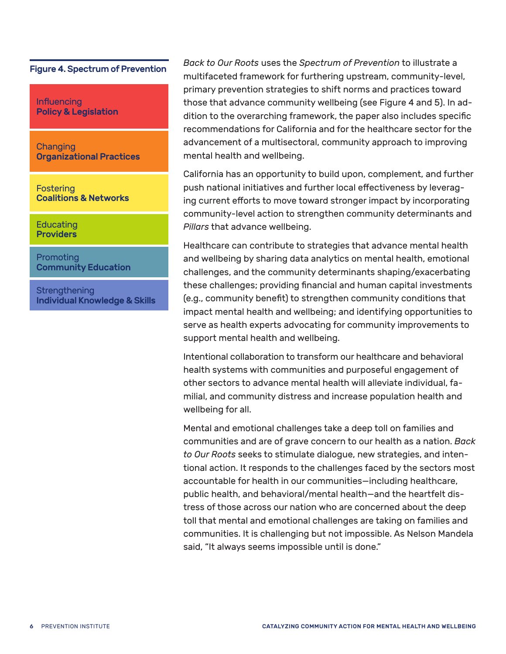#### Figure 4. Spectrum of Prevention

Influencing Policy & Legislation

Changing Organizational Practices

**Fostering** Coalitions & Networks

Educating **Providers** 

Promoting Community Education

**Strengthening** Individual Knowledge & Skills *Back to Our Roots* uses the *Spectrum of Prevention* to illustrate a multifaceted framework for furthering upstream, community-level, primary prevention strategies to shift norms and practices toward those that advance community wellbeing (see Figure 4 and 5). In addition to the overarching framework, the paper also includes specific recommendations for California and for the healthcare sector for the advancement of a multisectoral, community approach to improving mental health and wellbeing.

California has an opportunity to build upon, complement, and further push national initiatives and further local effectiveness by leveraging current efforts to move toward stronger impact by incorporating community-level action to strengthen community determinants and *Pillars* that advance wellbeing.

Healthcare can contribute to strategies that advance mental health and wellbeing by sharing data analytics on mental health, emotional challenges, and the community determinants shaping/exacerbating these challenges; providing financial and human capital investments (e.g., community benefit) to strengthen community conditions that impact mental health and wellbeing; and identifying opportunities to serve as health experts advocating for community improvements to support mental health and wellbeing.

Intentional collaboration to transform our healthcare and behavioral health systems with communities and purposeful engagement of other sectors to advance mental health will alleviate individual, familial, and community distress and increase population health and wellbeing for all.

Mental and emotional challenges take a deep toll on families and communities and are of grave concern to our health as a nation. *Back to Our Roots* seeks to stimulate dialogue, new strategies, and intentional action. It responds to the challenges faced by the sectors most accountable for health in our communities—including healthcare, public health, and behavioral/mental health—and the heartfelt distress of those across our nation who are concerned about the deep toll that mental and emotional challenges are taking on families and communities. It is challenging but not impossible. As Nelson Mandela said, "It always seems impossible until is done."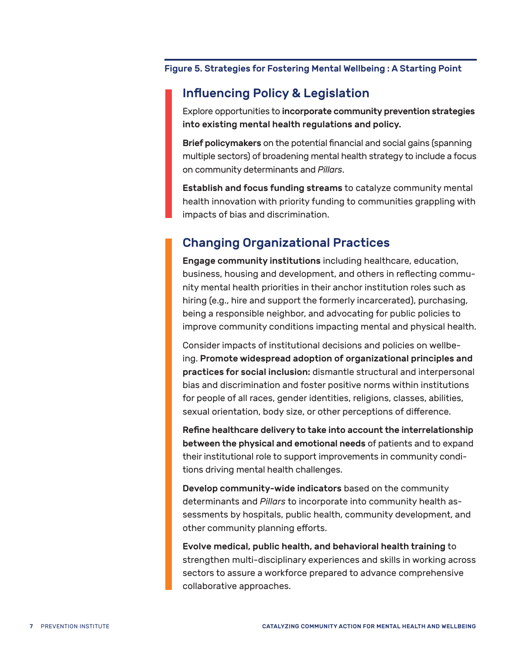#### Figure 5. Strategies for Fostering Mental Wellbeing : A Starting Point

# Influencing Policy & Legislation

Explore opportunities to incorporate community prevention strategies into existing mental health regulations and policy.

Brief policymakers on the potential financial and social gains (spanning multiple sectors) of broadening mental health strategy to include a focus on community determinants and *Pillars*.

Establish and focus funding streams to catalyze community mental health innovation with priority funding to communities grappling with impacts of bias and discrimination.

# Changing Organizational Practices

Engage community institutions including healthcare, education, business, housing and development, and others in reflecting community mental health priorities in their anchor institution roles such as hiring (e.g., hire and support the formerly incarcerated), purchasing, being a responsible neighbor, and advocating for public policies to improve community conditions impacting mental and physical health.

Consider impacts of institutional decisions and policies on wellbeing. Promote widespread adoption of organizational principles and practices for social inclusion: dismantle structural and interpersonal bias and discrimination and foster positive norms within institutions for people of all races, gender identities, religions, classes, abilities, sexual orientation, body size, or other perceptions of difference.

Refine healthcare delivery to take into account the interrelationship between the physical and emotional needs of patients and to expand their institutional role to support improvements in community conditions driving mental health challenges.

Develop community-wide indicators based on the community determinants and *Pillars* to incorporate into community health assessments by hospitals, public health, community development, and other community planning efforts.

Evolve medical, public health, and behavioral health training to strengthen multi-disciplinary experiences and skills in working across sectors to assure a workforce prepared to advance comprehensive collaborative approaches.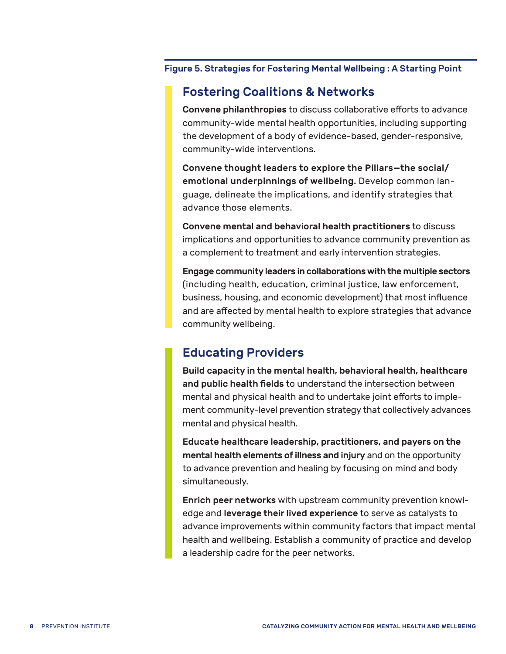#### Figure 5. Strategies for Fostering Mental Wellbeing : A Starting Point

### Fostering Coalitions & Networks

Convene philanthropies to discuss collaborative efforts to advance community-wide mental health opportunities, including supporting the development of a body of evidence-based, gender-responsive, community-wide interventions.

Convene thought leaders to explore the Pillars—the social/ emotional underpinnings of wellbeing. Develop common language, delineate the implications, and identify strategies that advance those elements.

Convene mental and behavioral health practitioners to discuss implications and opportunities to advance community prevention as a complement to treatment and early intervention strategies.

Engage community leaders in collaborations with the multiple sectors (including health, education, criminal justice, law enforcement, business, housing, and economic development) that most influence and are affected by mental health to explore strategies that advance community wellbeing.

# Educating Providers

Build capacity in the mental health, behavioral health, healthcare and public health fields to understand the intersection between mental and physical health and to undertake joint efforts to implement community-level prevention strategy that collectively advances mental and physical health.

Educate healthcare leadership, practitioners, and payers on the mental health elements of illness and injury and on the opportunity to advance prevention and healing by focusing on mind and body simultaneously.

Enrich peer networks with upstream community prevention knowledge and leverage their lived experience to serve as catalysts to advance improvements within community factors that impact mental health and wellbeing. Establish a community of practice and develop a leadership cadre for the peer networks.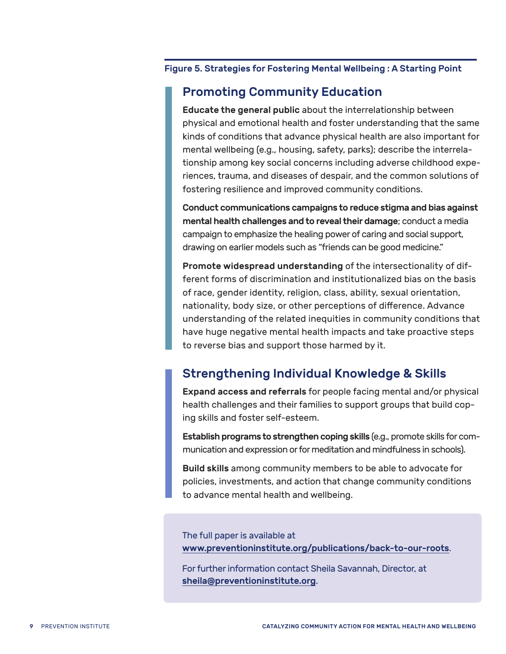#### Figure 5. Strategies for Fostering Mental Wellbeing : A Starting Point

# Promoting Community Education

Educate the general public about the interrelationship between physical and emotional health and foster understanding that the same kinds of conditions that advance physical health are also important for mental wellbeing (e.g., housing, safety, parks); describe the interrelationship among key social concerns including adverse childhood experiences, trauma, and diseases of despair, and the common solutions of fostering resilience and improved community conditions.

Conduct communications campaigns to reduce stigma and bias against mental health challenges and to reveal their damage; conduct a media campaign to emphasize the healing power of caring and social support, drawing on earlier models such as "friends can be good medicine."

Promote widespread understanding of the intersectionality of different forms of discrimination and institutionalized bias on the basis of race, gender identity, religion, class, ability, sexual orientation, nationality, body size, or other perceptions of difference. Advance understanding of the related inequities in community conditions that have huge negative mental health impacts and take proactive steps to reverse bias and support those harmed by it.

# Strengthening Individual Knowledge & Skills

Expand access and referrals for people facing mental and/or physical health challenges and their families to support groups that build coping skills and foster self-esteem.

Establish programs to strengthen coping skills (e.g., promote skills for communication and expression or for meditation and mindfulness in schools).

Build skills among community members to be able to advocate for policies, investments, and action that change community conditions to advance mental health and wellbeing.

The full paper is available at www.preventioninstitute.org/publications/back-to-our-roots.

For further information contact Sheila Savannah, Director, at sheila@preventioninstitute.org.